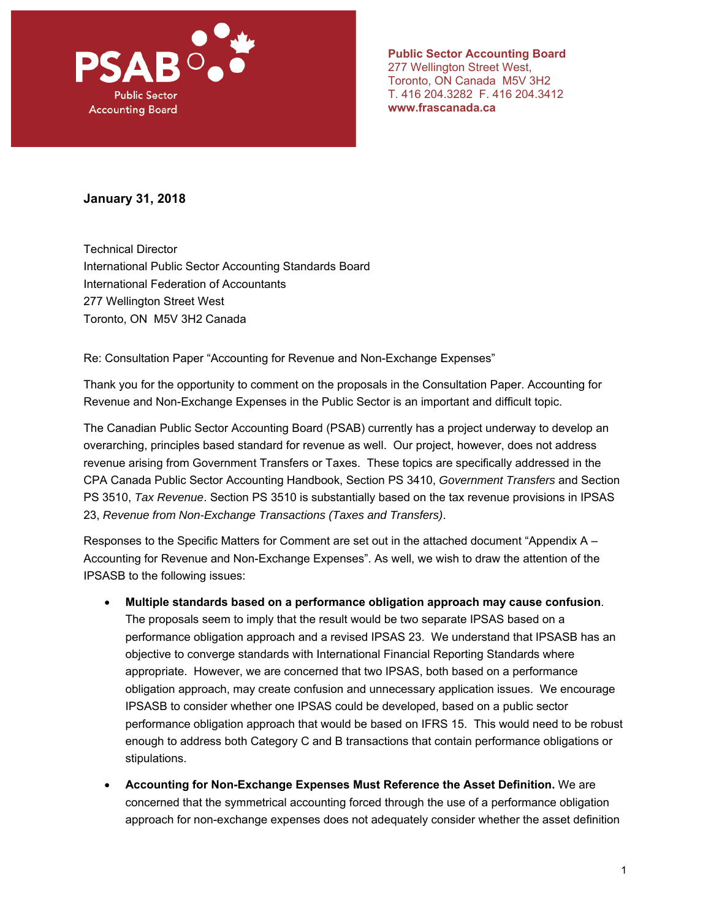

**Public Sector Accounting Board**  277 Wellington Street West, Toronto, ON Canada M5V 3H2 T. 416 204.3282 F. 416 204.3412 **www.frascanada.ca** 

#### **January 31, 2018**

Technical Director International Public Sector Accounting Standards Board International Federation of Accountants 277 Wellington Street West Toronto, ON M5V 3H2 Canada

Re: Consultation Paper "Accounting for Revenue and Non-Exchange Expenses"

Thank you for the opportunity to comment on the proposals in the Consultation Paper. Accounting for Revenue and Non-Exchange Expenses in the Public Sector is an important and difficult topic.

The Canadian Public Sector Accounting Board (PSAB) currently has a project underway to develop an overarching, principles based standard for revenue as well. Our project, however, does not address revenue arising from Government Transfers or Taxes. These topics are specifically addressed in the CPA Canada Public Sector Accounting Handbook, Section PS 3410, *Government Transfers* and Section PS 3510, *Tax Revenue*. Section PS 3510 is substantially based on the tax revenue provisions in IPSAS 23, *Revenue from Non-Exchange Transactions (Taxes and Transfers)*.

Responses to the Specific Matters for Comment are set out in the attached document "Appendix A – Accounting for Revenue and Non-Exchange Expenses". As well, we wish to draw the attention of the IPSASB to the following issues:

- **Multiple standards based on a performance obligation approach may cause confusion**. The proposals seem to imply that the result would be two separate IPSAS based on a performance obligation approach and a revised IPSAS 23. We understand that IPSASB has an objective to converge standards with International Financial Reporting Standards where appropriate. However, we are concerned that two IPSAS, both based on a performance obligation approach, may create confusion and unnecessary application issues. We encourage IPSASB to consider whether one IPSAS could be developed, based on a public sector performance obligation approach that would be based on IFRS 15. This would need to be robust enough to address both Category C and B transactions that contain performance obligations or stipulations.
- **Accounting for Non-Exchange Expenses Must Reference the Asset Definition.** We are concerned that the symmetrical accounting forced through the use of a performance obligation approach for non-exchange expenses does not adequately consider whether the asset definition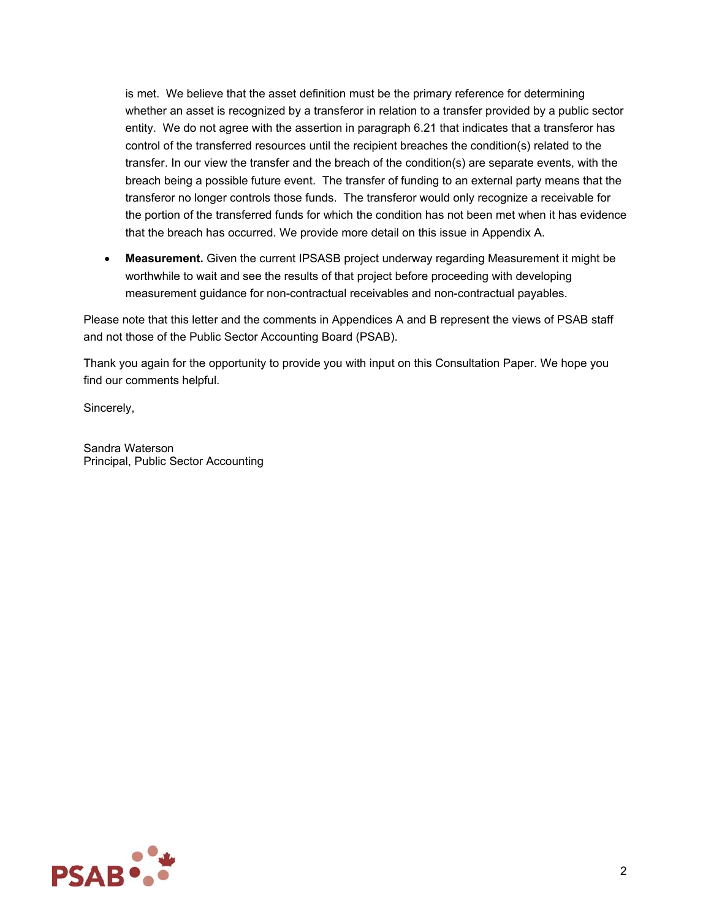is met. We believe that the asset definition must be the primary reference for determining whether an asset is recognized by a transferor in relation to a transfer provided by a public sector entity. We do not agree with the assertion in paragraph 6.21 that indicates that a transferor has control of the transferred resources until the recipient breaches the condition(s) related to the transfer. In our view the transfer and the breach of the condition(s) are separate events, with the breach being a possible future event. The transfer of funding to an external party means that the transferor no longer controls those funds. The transferor would only recognize a receivable for the portion of the transferred funds for which the condition has not been met when it has evidence that the breach has occurred. We provide more detail on this issue in Appendix A.

 **Measurement.** Given the current IPSASB project underway regarding Measurement it might be worthwhile to wait and see the results of that project before proceeding with developing measurement guidance for non-contractual receivables and non-contractual payables.

Please note that this letter and the comments in Appendices A and B represent the views of PSAB staff and not those of the Public Sector Accounting Board (PSAB).

Thank you again for the opportunity to provide you with input on this Consultation Paper. We hope you find our comments helpful.

Sincerely,

Sandra Waterson Principal, Public Sector Accounting

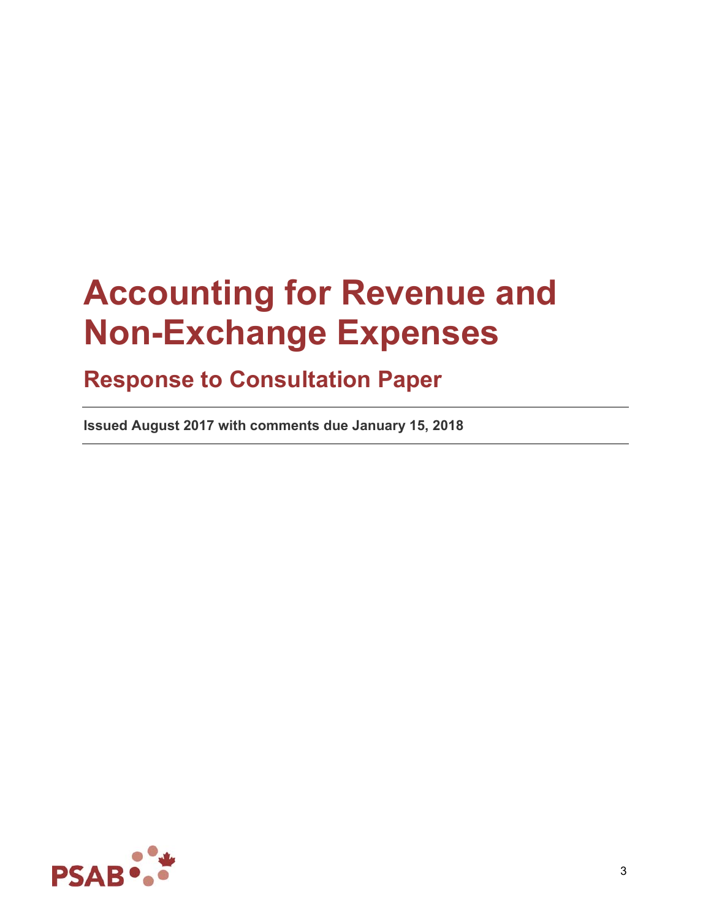# **Accounting for Revenue and Non-Exchange Expenses**

# **Response to Consultation Paper**

**Issued August 2017 with comments due January 15, 2018** 

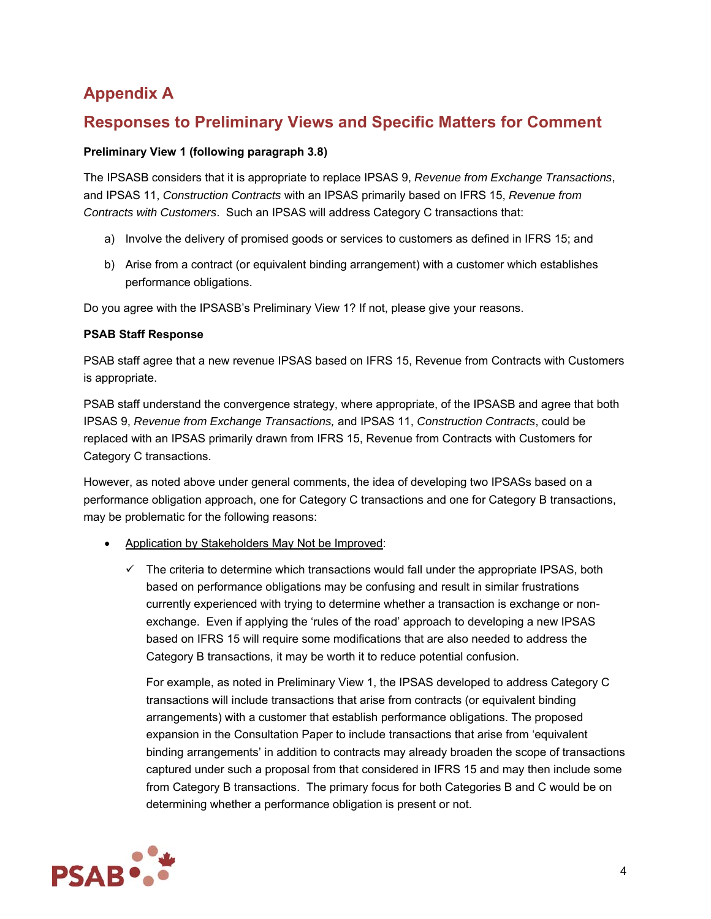# **Appendix A**

# **Responses to Preliminary Views and Specific Matters for Comment**

#### **Preliminary View 1 (following paragraph 3.8)**

The IPSASB considers that it is appropriate to replace IPSAS 9, *Revenue from Exchange Transactions*, and IPSAS 11, *Construction Contracts* with an IPSAS primarily based on IFRS 15, *Revenue from Contracts with Customers*. Such an IPSAS will address Category C transactions that:

- a) Involve the delivery of promised goods or services to customers as defined in IFRS 15; and
- b) Arise from a contract (or equivalent binding arrangement) with a customer which establishes performance obligations.

Do you agree with the IPSASB's Preliminary View 1? If not, please give your reasons.

#### **PSAB Staff Response**

PSAB staff agree that a new revenue IPSAS based on IFRS 15, Revenue from Contracts with Customers is appropriate.

PSAB staff understand the convergence strategy, where appropriate, of the IPSASB and agree that both IPSAS 9, *Revenue from Exchange Transactions,* and IPSAS 11, *Construction Contracts*, could be replaced with an IPSAS primarily drawn from IFRS 15, Revenue from Contracts with Customers for Category C transactions.

However, as noted above under general comments, the idea of developing two IPSASs based on a performance obligation approach, one for Category C transactions and one for Category B transactions, may be problematic for the following reasons:

- Application by Stakeholders May Not be Improved:
	- $\checkmark$  The criteria to determine which transactions would fall under the appropriate IPSAS, both based on performance obligations may be confusing and result in similar frustrations currently experienced with trying to determine whether a transaction is exchange or nonexchange. Even if applying the 'rules of the road' approach to developing a new IPSAS based on IFRS 15 will require some modifications that are also needed to address the Category B transactions, it may be worth it to reduce potential confusion.

For example, as noted in Preliminary View 1, the IPSAS developed to address Category C transactions will include transactions that arise from contracts (or equivalent binding arrangements) with a customer that establish performance obligations. The proposed expansion in the Consultation Paper to include transactions that arise from 'equivalent binding arrangements' in addition to contracts may already broaden the scope of transactions captured under such a proposal from that considered in IFRS 15 and may then include some from Category B transactions. The primary focus for both Categories B and C would be on determining whether a performance obligation is present or not.

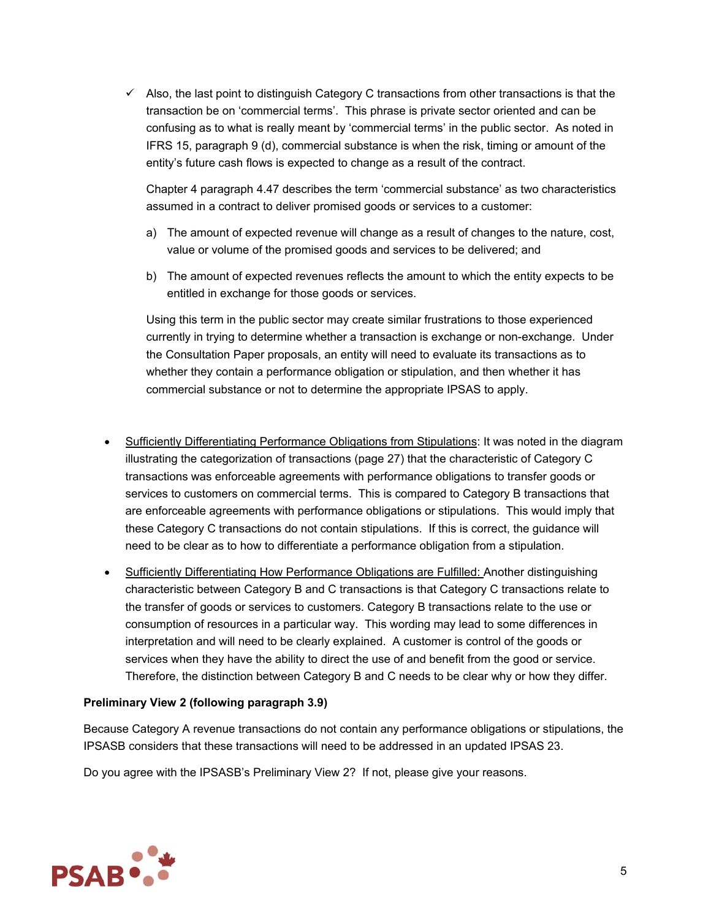$\checkmark$  Also, the last point to distinguish Category C transactions from other transactions is that the transaction be on 'commercial terms'. This phrase is private sector oriented and can be confusing as to what is really meant by 'commercial terms' in the public sector. As noted in IFRS 15, paragraph 9 (d), commercial substance is when the risk, timing or amount of the entity's future cash flows is expected to change as a result of the contract.

Chapter 4 paragraph 4.47 describes the term 'commercial substance' as two characteristics assumed in a contract to deliver promised goods or services to a customer:

- a) The amount of expected revenue will change as a result of changes to the nature, cost, value or volume of the promised goods and services to be delivered; and
- b) The amount of expected revenues reflects the amount to which the entity expects to be entitled in exchange for those goods or services.

Using this term in the public sector may create similar frustrations to those experienced currently in trying to determine whether a transaction is exchange or non-exchange. Under the Consultation Paper proposals, an entity will need to evaluate its transactions as to whether they contain a performance obligation or stipulation, and then whether it has commercial substance or not to determine the appropriate IPSAS to apply.

- Sufficiently Differentiating Performance Obligations from Stipulations: It was noted in the diagram illustrating the categorization of transactions (page 27) that the characteristic of Category C transactions was enforceable agreements with performance obligations to transfer goods or services to customers on commercial terms. This is compared to Category B transactions that are enforceable agreements with performance obligations or stipulations. This would imply that these Category C transactions do not contain stipulations. If this is correct, the guidance will need to be clear as to how to differentiate a performance obligation from a stipulation.
- Sufficiently Differentiating How Performance Obligations are Fulfilled: Another distinguishing characteristic between Category B and C transactions is that Category C transactions relate to the transfer of goods or services to customers. Category B transactions relate to the use or consumption of resources in a particular way. This wording may lead to some differences in interpretation and will need to be clearly explained. A customer is control of the goods or services when they have the ability to direct the use of and benefit from the good or service. Therefore, the distinction between Category B and C needs to be clear why or how they differ.

#### **Preliminary View 2 (following paragraph 3.9)**

Because Category A revenue transactions do not contain any performance obligations or stipulations, the IPSASB considers that these transactions will need to be addressed in an updated IPSAS 23.

Do you agree with the IPSASB's Preliminary View 2? If not, please give your reasons.

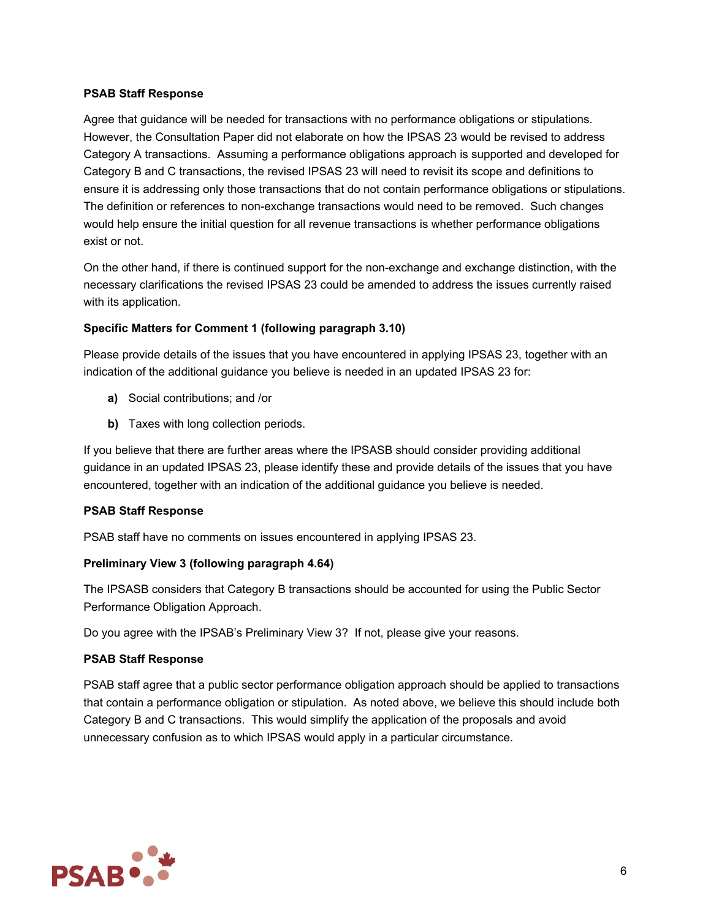#### **PSAB Staff Response**

Agree that guidance will be needed for transactions with no performance obligations or stipulations. However, the Consultation Paper did not elaborate on how the IPSAS 23 would be revised to address Category A transactions. Assuming a performance obligations approach is supported and developed for Category B and C transactions, the revised IPSAS 23 will need to revisit its scope and definitions to ensure it is addressing only those transactions that do not contain performance obligations or stipulations. The definition or references to non-exchange transactions would need to be removed. Such changes would help ensure the initial question for all revenue transactions is whether performance obligations exist or not.

On the other hand, if there is continued support for the non-exchange and exchange distinction, with the necessary clarifications the revised IPSAS 23 could be amended to address the issues currently raised with its application.

#### **Specific Matters for Comment 1 (following paragraph 3.10)**

Please provide details of the issues that you have encountered in applying IPSAS 23, together with an indication of the additional guidance you believe is needed in an updated IPSAS 23 for:

- **a)** Social contributions; and /or
- **b)** Taxes with long collection periods.

If you believe that there are further areas where the IPSASB should consider providing additional guidance in an updated IPSAS 23, please identify these and provide details of the issues that you have encountered, together with an indication of the additional guidance you believe is needed.

#### **PSAB Staff Response**

PSAB staff have no comments on issues encountered in applying IPSAS 23.

#### **Preliminary View 3 (following paragraph 4.64)**

The IPSASB considers that Category B transactions should be accounted for using the Public Sector Performance Obligation Approach.

Do you agree with the IPSAB's Preliminary View 3? If not, please give your reasons.

#### **PSAB Staff Response**

PSAB staff agree that a public sector performance obligation approach should be applied to transactions that contain a performance obligation or stipulation. As noted above, we believe this should include both Category B and C transactions. This would simplify the application of the proposals and avoid unnecessary confusion as to which IPSAS would apply in a particular circumstance.

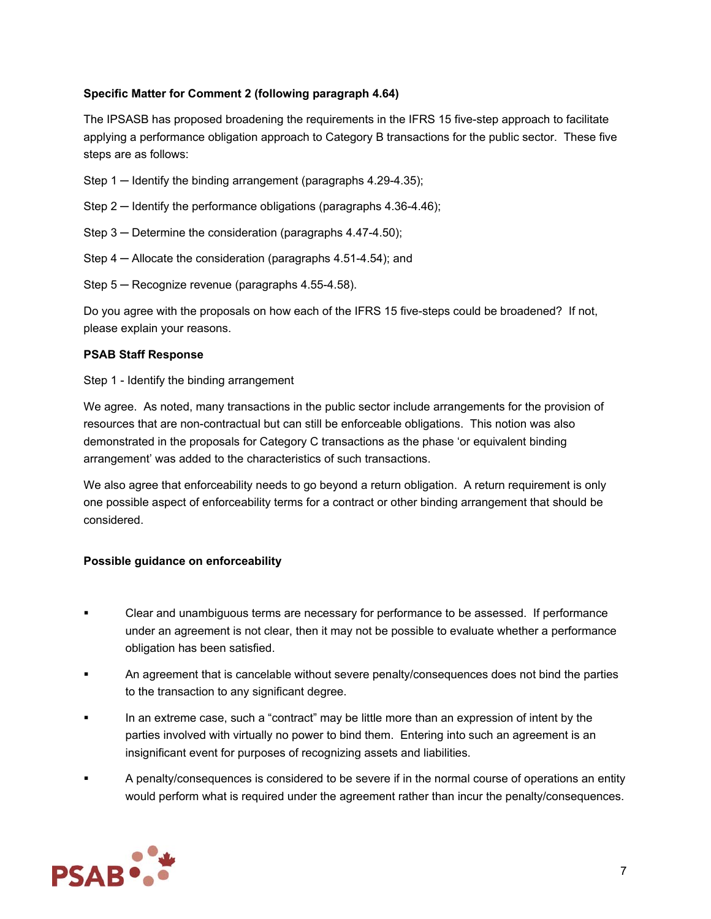#### **Specific Matter for Comment 2 (following paragraph 4.64)**

The IPSASB has proposed broadening the requirements in the IFRS 15 five-step approach to facilitate applying a performance obligation approach to Category B transactions for the public sector. These five steps are as follows:

- Step  $1 -$  Identify the binding arrangement (paragraphs 4.29-4.35);
- Step 2 Identify the performance obligations (paragraphs 4.36-4.46);
- Step 3 Determine the consideration (paragraphs 4.47-4.50);
- Step 4 ─ Allocate the consideration (paragraphs 4.51-4.54); and
- Step 5 ─ Recognize revenue (paragraphs 4.55-4.58).

Do you agree with the proposals on how each of the IFRS 15 five-steps could be broadened? If not, please explain your reasons.

#### **PSAB Staff Response**

Step 1 - Identify the binding arrangement

We agree. As noted, many transactions in the public sector include arrangements for the provision of resources that are non-contractual but can still be enforceable obligations. This notion was also demonstrated in the proposals for Category C transactions as the phase 'or equivalent binding arrangement' was added to the characteristics of such transactions.

We also agree that enforceability needs to go beyond a return obligation. A return requirement is only one possible aspect of enforceability terms for a contract or other binding arrangement that should be considered.

#### **Possible guidance on enforceability**

- Clear and unambiguous terms are necessary for performance to be assessed. If performance under an agreement is not clear, then it may not be possible to evaluate whether a performance obligation has been satisfied.
- An agreement that is cancelable without severe penalty/consequences does not bind the parties to the transaction to any significant degree.
- In an extreme case, such a "contract" may be little more than an expression of intent by the parties involved with virtually no power to bind them. Entering into such an agreement is an insignificant event for purposes of recognizing assets and liabilities.
- A penalty/consequences is considered to be severe if in the normal course of operations an entity would perform what is required under the agreement rather than incur the penalty/consequences.

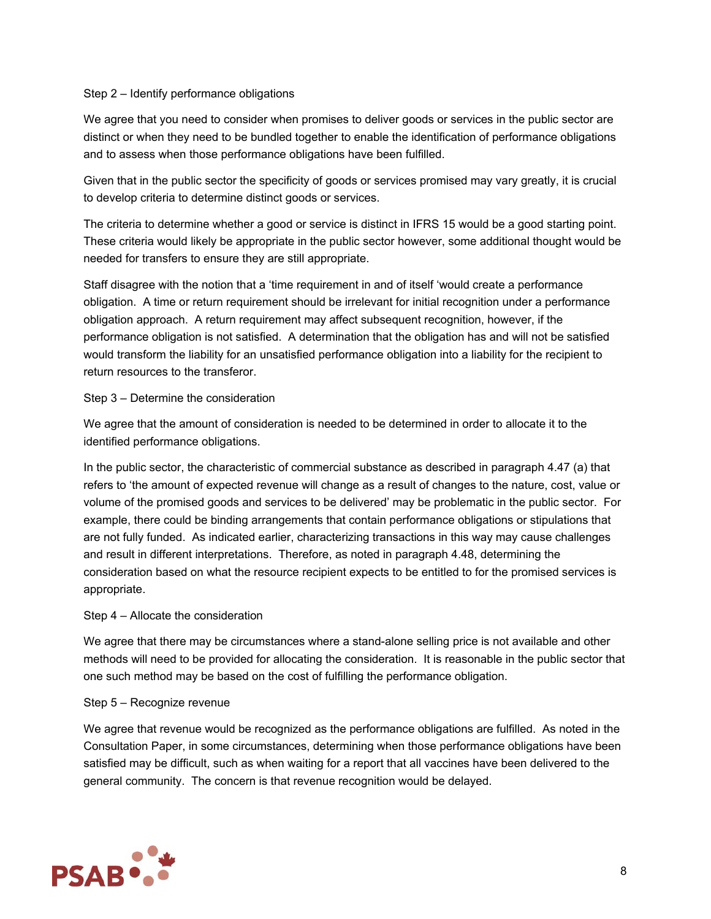#### Step 2 – Identify performance obligations

We agree that you need to consider when promises to deliver goods or services in the public sector are distinct or when they need to be bundled together to enable the identification of performance obligations and to assess when those performance obligations have been fulfilled.

Given that in the public sector the specificity of goods or services promised may vary greatly, it is crucial to develop criteria to determine distinct goods or services.

The criteria to determine whether a good or service is distinct in IFRS 15 would be a good starting point. These criteria would likely be appropriate in the public sector however, some additional thought would be needed for transfers to ensure they are still appropriate.

Staff disagree with the notion that a 'time requirement in and of itself 'would create a performance obligation. A time or return requirement should be irrelevant for initial recognition under a performance obligation approach. A return requirement may affect subsequent recognition, however, if the performance obligation is not satisfied. A determination that the obligation has and will not be satisfied would transform the liability for an unsatisfied performance obligation into a liability for the recipient to return resources to the transferor.

#### Step 3 – Determine the consideration

We agree that the amount of consideration is needed to be determined in order to allocate it to the identified performance obligations.

In the public sector, the characteristic of commercial substance as described in paragraph 4.47 (a) that refers to 'the amount of expected revenue will change as a result of changes to the nature, cost, value or volume of the promised goods and services to be delivered' may be problematic in the public sector. For example, there could be binding arrangements that contain performance obligations or stipulations that are not fully funded. As indicated earlier, characterizing transactions in this way may cause challenges and result in different interpretations. Therefore, as noted in paragraph 4.48, determining the consideration based on what the resource recipient expects to be entitled to for the promised services is appropriate.

#### Step 4 – Allocate the consideration

We agree that there may be circumstances where a stand-alone selling price is not available and other methods will need to be provided for allocating the consideration. It is reasonable in the public sector that one such method may be based on the cost of fulfilling the performance obligation.

#### Step 5 – Recognize revenue

We agree that revenue would be recognized as the performance obligations are fulfilled. As noted in the Consultation Paper, in some circumstances, determining when those performance obligations have been satisfied may be difficult, such as when waiting for a report that all vaccines have been delivered to the general community. The concern is that revenue recognition would be delayed.

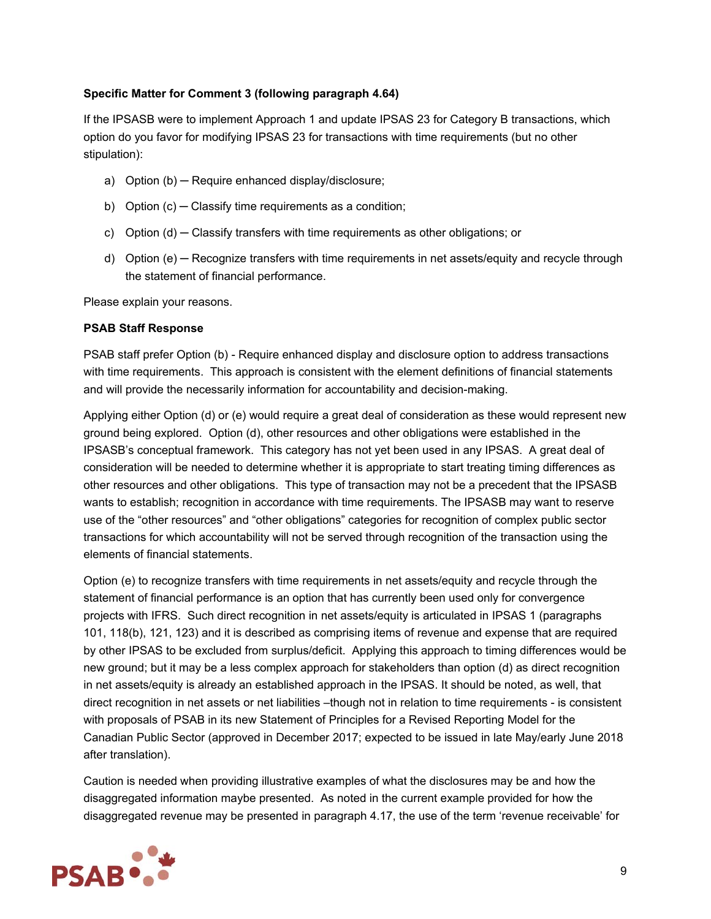#### **Specific Matter for Comment 3 (following paragraph 4.64)**

If the IPSASB were to implement Approach 1 and update IPSAS 23 for Category B transactions, which option do you favor for modifying IPSAS 23 for transactions with time requirements (but no other stipulation):

- a) Option (b) ─ Require enhanced display/disclosure;
- b) Option (c) Classify time requirements as a condition;
- c) Option (d) Classify transfers with time requirements as other obligations; or
- d) Option (e) Recognize transfers with time requirements in net assets/equity and recycle through the statement of financial performance.

Please explain your reasons.

#### **PSAB Staff Response**

PSAB staff prefer Option (b) - Require enhanced display and disclosure option to address transactions with time requirements. This approach is consistent with the element definitions of financial statements and will provide the necessarily information for accountability and decision-making.

Applying either Option (d) or (e) would require a great deal of consideration as these would represent new ground being explored. Option (d), other resources and other obligations were established in the IPSASB's conceptual framework. This category has not yet been used in any IPSAS. A great deal of consideration will be needed to determine whether it is appropriate to start treating timing differences as other resources and other obligations. This type of transaction may not be a precedent that the IPSASB wants to establish; recognition in accordance with time requirements. The IPSASB may want to reserve use of the "other resources" and "other obligations" categories for recognition of complex public sector transactions for which accountability will not be served through recognition of the transaction using the elements of financial statements.

Option (e) to recognize transfers with time requirements in net assets/equity and recycle through the statement of financial performance is an option that has currently been used only for convergence projects with IFRS. Such direct recognition in net assets/equity is articulated in IPSAS 1 (paragraphs 101, 118(b), 121, 123) and it is described as comprising items of revenue and expense that are required by other IPSAS to be excluded from surplus/deficit. Applying this approach to timing differences would be new ground; but it may be a less complex approach for stakeholders than option (d) as direct recognition in net assets/equity is already an established approach in the IPSAS. It should be noted, as well, that direct recognition in net assets or net liabilities -though not in relation to time requirements - is consistent with proposals of PSAB in its new Statement of Principles for a Revised Reporting Model for the Canadian Public Sector (approved in December 2017; expected to be issued in late May/early June 2018 after translation).

Caution is needed when providing illustrative examples of what the disclosures may be and how the disaggregated information maybe presented. As noted in the current example provided for how the disaggregated revenue may be presented in paragraph 4.17, the use of the term 'revenue receivable' for

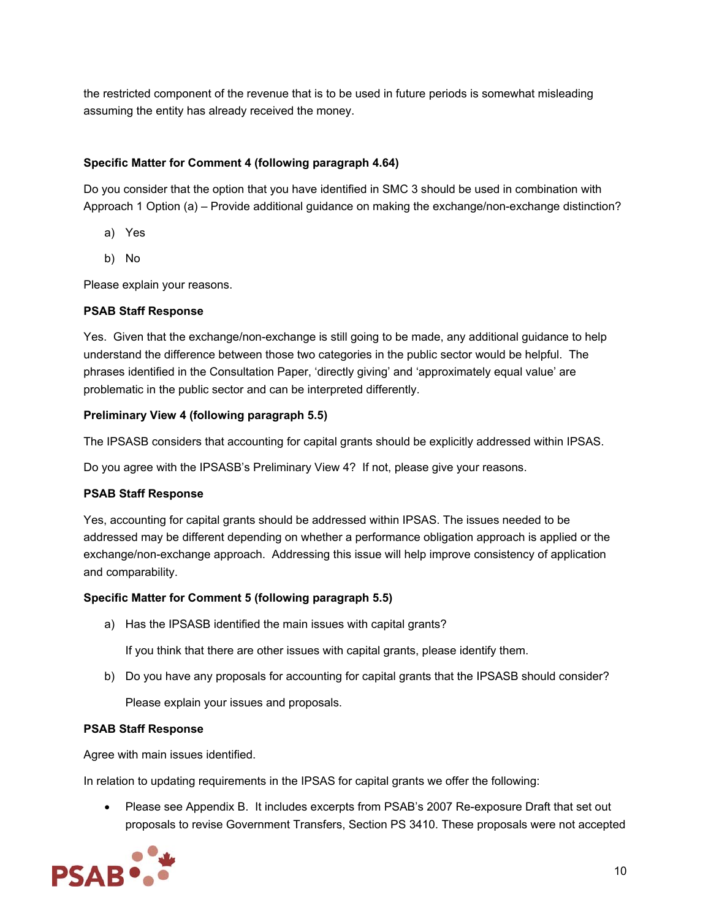the restricted component of the revenue that is to be used in future periods is somewhat misleading assuming the entity has already received the money.

#### **Specific Matter for Comment 4 (following paragraph 4.64)**

Do you consider that the option that you have identified in SMC 3 should be used in combination with Approach 1 Option (a) – Provide additional guidance on making the exchange/non-exchange distinction?

- a) Yes
- b) No

Please explain your reasons.

#### **PSAB Staff Response**

Yes. Given that the exchange/non-exchange is still going to be made, any additional guidance to help understand the difference between those two categories in the public sector would be helpful. The phrases identified in the Consultation Paper, 'directly giving' and 'approximately equal value' are problematic in the public sector and can be interpreted differently.

#### **Preliminary View 4 (following paragraph 5.5)**

The IPSASB considers that accounting for capital grants should be explicitly addressed within IPSAS.

Do you agree with the IPSASB's Preliminary View 4? If not, please give your reasons.

#### **PSAB Staff Response**

Yes, accounting for capital grants should be addressed within IPSAS. The issues needed to be addressed may be different depending on whether a performance obligation approach is applied or the exchange/non-exchange approach. Addressing this issue will help improve consistency of application and comparability.

#### **Specific Matter for Comment 5 (following paragraph 5.5)**

a) Has the IPSASB identified the main issues with capital grants?

If you think that there are other issues with capital grants, please identify them.

b) Do you have any proposals for accounting for capital grants that the IPSASB should consider? Please explain your issues and proposals.

#### **PSAB Staff Response**

Agree with main issues identified.

In relation to updating requirements in the IPSAS for capital grants we offer the following:

 Please see Appendix B. It includes excerpts from PSAB's 2007 Re-exposure Draft that set out proposals to revise Government Transfers, Section PS 3410. These proposals were not accepted

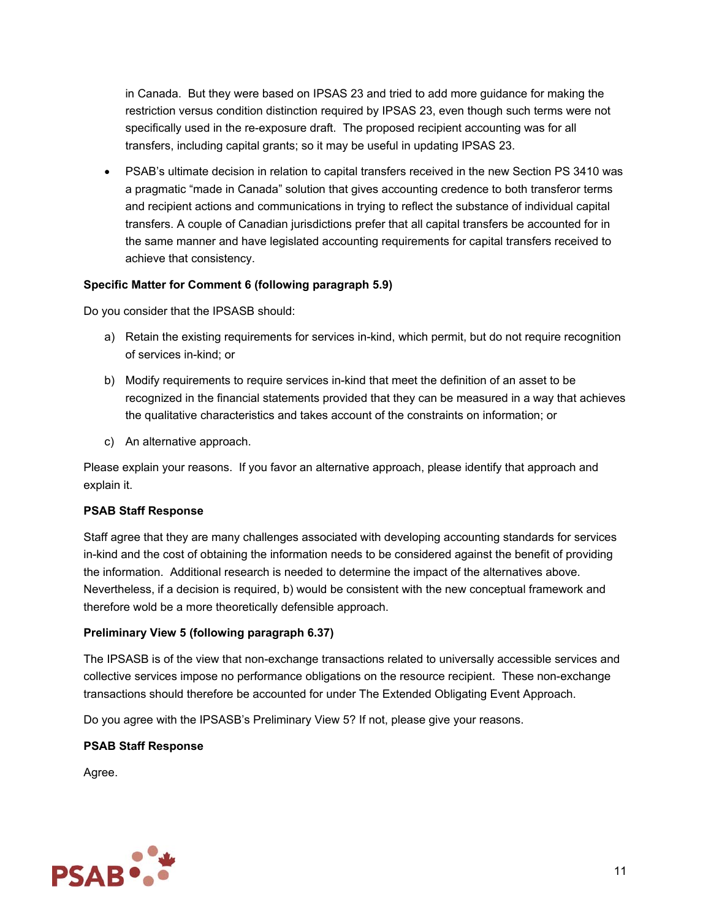in Canada. But they were based on IPSAS 23 and tried to add more guidance for making the restriction versus condition distinction required by IPSAS 23, even though such terms were not specifically used in the re-exposure draft. The proposed recipient accounting was for all transfers, including capital grants; so it may be useful in updating IPSAS 23.

 PSAB's ultimate decision in relation to capital transfers received in the new Section PS 3410 was a pragmatic "made in Canada" solution that gives accounting credence to both transferor terms and recipient actions and communications in trying to reflect the substance of individual capital transfers. A couple of Canadian jurisdictions prefer that all capital transfers be accounted for in the same manner and have legislated accounting requirements for capital transfers received to achieve that consistency.

#### **Specific Matter for Comment 6 (following paragraph 5.9)**

Do you consider that the IPSASB should:

- a) Retain the existing requirements for services in-kind, which permit, but do not require recognition of services in-kind; or
- b) Modify requirements to require services in-kind that meet the definition of an asset to be recognized in the financial statements provided that they can be measured in a way that achieves the qualitative characteristics and takes account of the constraints on information; or
- c) An alternative approach.

Please explain your reasons. If you favor an alternative approach, please identify that approach and explain it.

#### **PSAB Staff Response**

Staff agree that they are many challenges associated with developing accounting standards for services in-kind and the cost of obtaining the information needs to be considered against the benefit of providing the information. Additional research is needed to determine the impact of the alternatives above. Nevertheless, if a decision is required, b) would be consistent with the new conceptual framework and therefore wold be a more theoretically defensible approach.

#### **Preliminary View 5 (following paragraph 6.37)**

The IPSASB is of the view that non-exchange transactions related to universally accessible services and collective services impose no performance obligations on the resource recipient. These non-exchange transactions should therefore be accounted for under The Extended Obligating Event Approach.

Do you agree with the IPSASB's Preliminary View 5? If not, please give your reasons.

#### **PSAB Staff Response**

Agree.

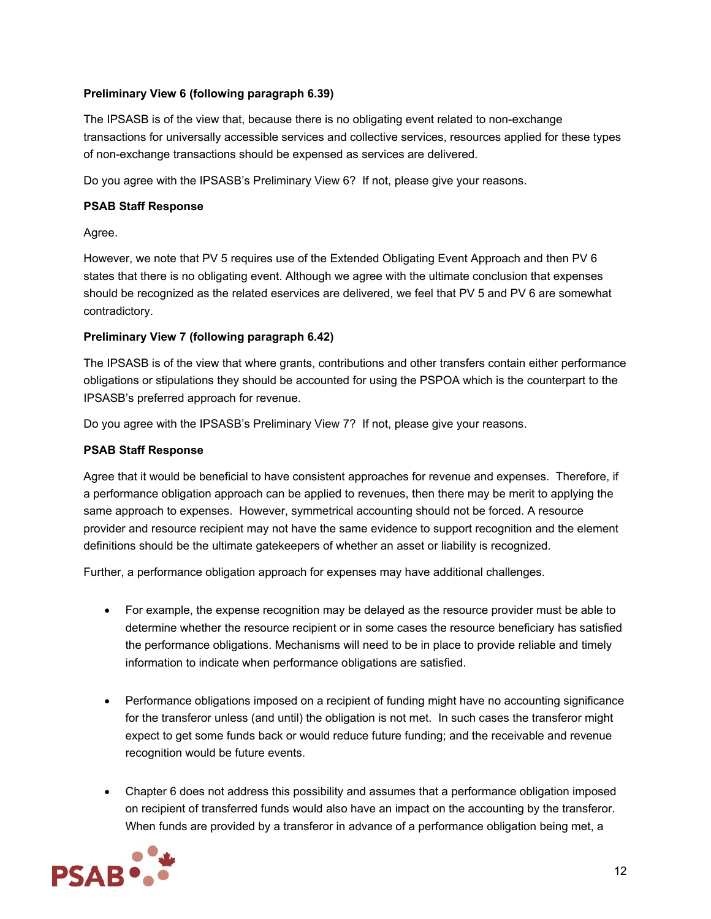#### **Preliminary View 6 (following paragraph 6.39)**

The IPSASB is of the view that, because there is no obligating event related to non-exchange transactions for universally accessible services and collective services, resources applied for these types of non-exchange transactions should be expensed as services are delivered.

Do you agree with the IPSASB's Preliminary View 6? If not, please give your reasons.

#### **PSAB Staff Response**

Agree.

However, we note that PV 5 requires use of the Extended Obligating Event Approach and then PV 6 states that there is no obligating event. Although we agree with the ultimate conclusion that expenses should be recognized as the related eservices are delivered, we feel that PV 5 and PV 6 are somewhat contradictory.

#### **Preliminary View 7 (following paragraph 6.42)**

The IPSASB is of the view that where grants, contributions and other transfers contain either performance obligations or stipulations they should be accounted for using the PSPOA which is the counterpart to the IPSASB's preferred approach for revenue.

Do you agree with the IPSASB's Preliminary View 7? If not, please give your reasons.

#### **PSAB Staff Response**

Agree that it would be beneficial to have consistent approaches for revenue and expenses. Therefore, if a performance obligation approach can be applied to revenues, then there may be merit to applying the same approach to expenses. However, symmetrical accounting should not be forced. A resource provider and resource recipient may not have the same evidence to support recognition and the element definitions should be the ultimate gatekeepers of whether an asset or liability is recognized.

Further, a performance obligation approach for expenses may have additional challenges.

- For example, the expense recognition may be delayed as the resource provider must be able to determine whether the resource recipient or in some cases the resource beneficiary has satisfied the performance obligations. Mechanisms will need to be in place to provide reliable and timely information to indicate when performance obligations are satisfied.
- Performance obligations imposed on a recipient of funding might have no accounting significance for the transferor unless (and until) the obligation is not met. In such cases the transferor might expect to get some funds back or would reduce future funding; and the receivable and revenue recognition would be future events.
- Chapter 6 does not address this possibility and assumes that a performance obligation imposed on recipient of transferred funds would also have an impact on the accounting by the transferor. When funds are provided by a transferor in advance of a performance obligation being met, a

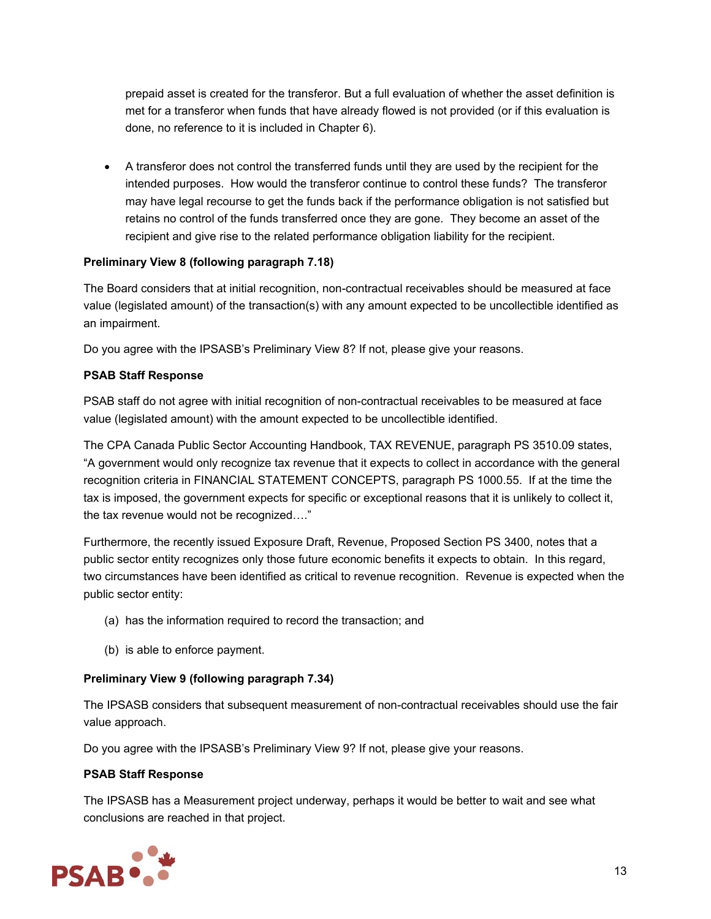prepaid asset is created for the transferor. But a full evaluation of whether the asset definition is met for a transferor when funds that have already flowed is not provided (or if this evaluation is done, no reference to it is included in Chapter 6).

 A transferor does not control the transferred funds until they are used by the recipient for the intended purposes. How would the transferor continue to control these funds? The transferor may have legal recourse to get the funds back if the performance obligation is not satisfied but retains no control of the funds transferred once they are gone. They become an asset of the recipient and give rise to the related performance obligation liability for the recipient.

#### **Preliminary View 8 (following paragraph 7.18)**

The Board considers that at initial recognition, non-contractual receivables should be measured at face value (legislated amount) of the transaction(s) with any amount expected to be uncollectible identified as an impairment.

Do you agree with the IPSASB's Preliminary View 8? If not, please give your reasons.

#### **PSAB Staff Response**

PSAB staff do not agree with initial recognition of non-contractual receivables to be measured at face value (legislated amount) with the amount expected to be uncollectible identified.

The CPA Canada Public Sector Accounting Handbook, TAX REVENUE, paragraph PS 3510.09 states, "A government would only recognize tax revenue that it expects to collect in accordance with the general recognition criteria in FINANCIAL STATEMENT CONCEPTS, paragraph PS 1000.55. If at the time the tax is imposed, the government expects for specific or exceptional reasons that it is unlikely to collect it, the tax revenue would not be recognized…."

Furthermore, the recently issued Exposure Draft, Revenue, Proposed Section PS 3400, notes that a public sector entity recognizes only those future economic benefits it expects to obtain. In this regard, two circumstances have been identified as critical to revenue recognition. Revenue is expected when the public sector entity:

- (a) has the information required to record the transaction; and
- (b) is able to enforce payment.

#### **Preliminary View 9 (following paragraph 7.34)**

The IPSASB considers that subsequent measurement of non-contractual receivables should use the fair value approach.

Do you agree with the IPSASB's Preliminary View 9? If not, please give your reasons.

#### **PSAB Staff Response**

The IPSASB has a Measurement project underway, perhaps it would be better to wait and see what conclusions are reached in that project.

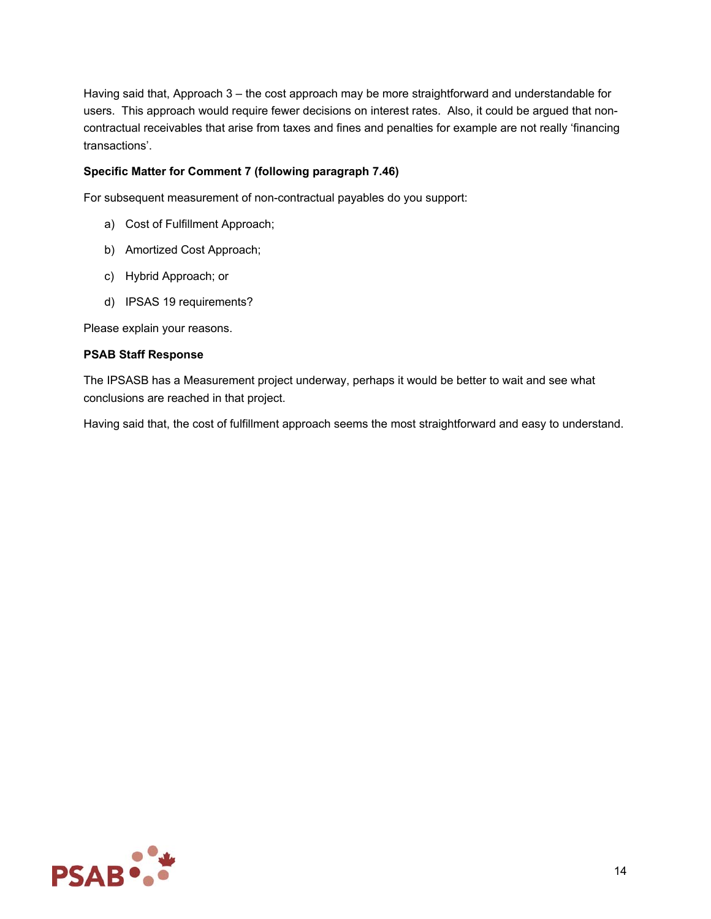Having said that, Approach 3 – the cost approach may be more straightforward and understandable for users. This approach would require fewer decisions on interest rates. Also, it could be argued that noncontractual receivables that arise from taxes and fines and penalties for example are not really 'financing transactions'.

#### **Specific Matter for Comment 7 (following paragraph 7.46)**

For subsequent measurement of non-contractual payables do you support:

- a) Cost of Fulfillment Approach;
- b) Amortized Cost Approach;
- c) Hybrid Approach; or
- d) IPSAS 19 requirements?

Please explain your reasons.

#### **PSAB Staff Response**

The IPSASB has a Measurement project underway, perhaps it would be better to wait and see what conclusions are reached in that project.

Having said that, the cost of fulfillment approach seems the most straightforward and easy to understand.

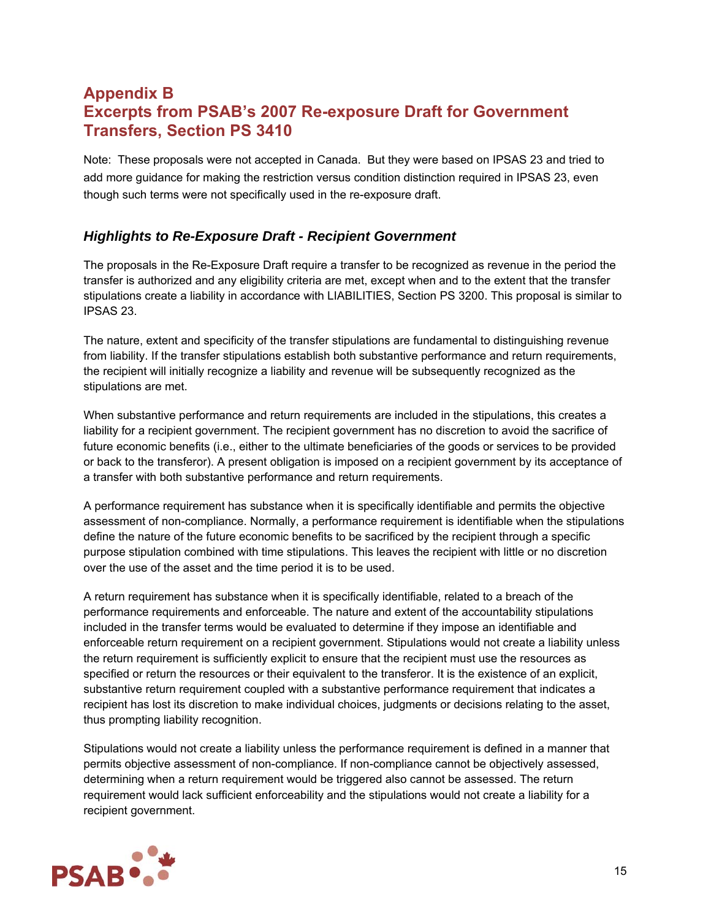# **Appendix B Excerpts from PSAB's 2007 Re-exposure Draft for Government Transfers, Section PS 3410**

Note: These proposals were not accepted in Canada. But they were based on IPSAS 23 and tried to add more guidance for making the restriction versus condition distinction required in IPSAS 23, even though such terms were not specifically used in the re-exposure draft.

### *Highlights to Re-Exposure Draft - Recipient Government*

The proposals in the Re-Exposure Draft require a transfer to be recognized as revenue in the period the transfer is authorized and any eligibility criteria are met, except when and to the extent that the transfer stipulations create a liability in accordance with LIABILITIES, Section PS 3200. This proposal is similar to IPSAS 23.

The nature, extent and specificity of the transfer stipulations are fundamental to distinguishing revenue from liability. If the transfer stipulations establish both substantive performance and return requirements, the recipient will initially recognize a liability and revenue will be subsequently recognized as the stipulations are met.

When substantive performance and return requirements are included in the stipulations, this creates a liability for a recipient government. The recipient government has no discretion to avoid the sacrifice of future economic benefits (i.e., either to the ultimate beneficiaries of the goods or services to be provided or back to the transferor). A present obligation is imposed on a recipient government by its acceptance of a transfer with both substantive performance and return requirements.

A performance requirement has substance when it is specifically identifiable and permits the objective assessment of non-compliance. Normally, a performance requirement is identifiable when the stipulations define the nature of the future economic benefits to be sacrificed by the recipient through a specific purpose stipulation combined with time stipulations. This leaves the recipient with little or no discretion over the use of the asset and the time period it is to be used.

A return requirement has substance when it is specifically identifiable, related to a breach of the performance requirements and enforceable. The nature and extent of the accountability stipulations included in the transfer terms would be evaluated to determine if they impose an identifiable and enforceable return requirement on a recipient government. Stipulations would not create a liability unless the return requirement is sufficiently explicit to ensure that the recipient must use the resources as specified or return the resources or their equivalent to the transferor. It is the existence of an explicit, substantive return requirement coupled with a substantive performance requirement that indicates a recipient has lost its discretion to make individual choices, judgments or decisions relating to the asset, thus prompting liability recognition.

Stipulations would not create a liability unless the performance requirement is defined in a manner that permits objective assessment of non-compliance. If non-compliance cannot be objectively assessed, determining when a return requirement would be triggered also cannot be assessed. The return requirement would lack sufficient enforceability and the stipulations would not create a liability for a recipient government.

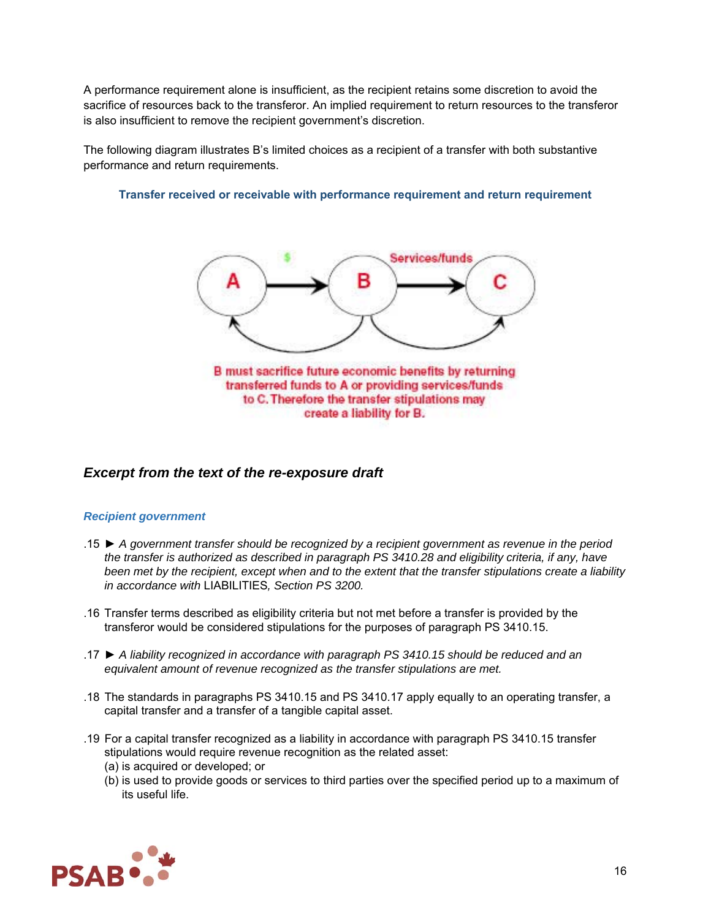A performance requirement alone is insufficient, as the recipient retains some discretion to avoid the sacrifice of resources back to the transferor. An implied requirement to return resources to the transferor is also insufficient to remove the recipient government's discretion.

The following diagram illustrates B's limited choices as a recipient of a transfer with both substantive performance and return requirements.

#### **Transfer received or receivable with performance requirement and return requirement**



#### *Excerpt from the text of the re-exposure draft*

#### *Recipient government*

- .15 ► *A government transfer should be recognized by a recipient government as revenue in the period the transfer is authorized as described in paragraph PS 3410.28 and eligibility criteria, if any, have been met by the recipient, except when and to the extent that the transfer stipulations create a liability in accordance with* LIABILITIES*, Section PS 3200.*
- .16 Transfer terms described as eligibility criteria but not met before a transfer is provided by the transferor would be considered stipulations for the purposes of paragraph PS 3410.15.
- .17 ► *A liability recognized in accordance with paragraph PS 3410.15 should be reduced and an equivalent amount of revenue recognized as the transfer stipulations are met.*
- .18 The standards in paragraphs PS 3410.15 and PS 3410.17 apply equally to an operating transfer, a capital transfer and a transfer of a tangible capital asset.
- .19 For a capital transfer recognized as a liability in accordance with paragraph PS 3410.15 transfer stipulations would require revenue recognition as the related asset:
	- (a) is acquired or developed; or
	- (b) is used to provide goods or services to third parties over the specified period up to a maximum of its useful life.